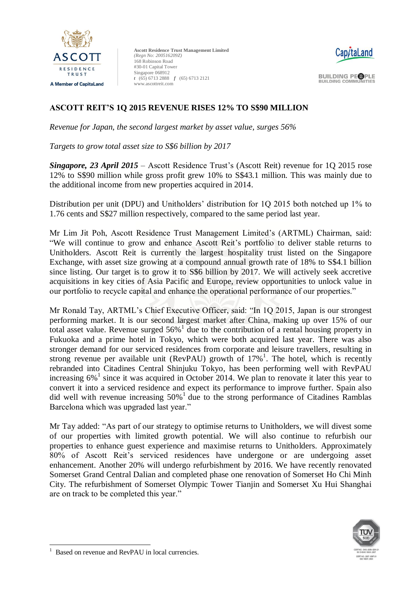



**BUILDING PEOPLE BUILDING COMMUNITIES** 

## **ASCOTT REIT'S 1Q 2015 REVENUE RISES 12% TO S\$90 MILLION**

*Revenue for Japan, the second largest market by asset value, surges 56%*

*Targets to grow total asset size to S\$6 billion by 2017*

*Singapore, 23 April 2015* – Ascott Residence Trust's (Ascott Reit) revenue for 1Q 2015 rose 12% to S\$90 million while gross profit grew 10% to S\$43.1 million. This was mainly due to the additional income from new properties acquired in 2014.

Distribution per unit (DPU) and Unitholders' distribution for 1Q 2015 both notched up 1% to 1.76 cents and S\$27 million respectively, compared to the same period last year.

Mr Lim Jit Poh, Ascott Residence Trust Management Limited's (ARTML) Chairman, said: "We will continue to grow and enhance Ascott Reit's portfolio to deliver stable returns to Unitholders. Ascott Reit is currently the largest hospitality trust listed on the Singapore Exchange, with asset size growing at a compound annual growth rate of 18% to S\$4.1 billion since listing. Our target is to grow it to S\$6 billion by 2017. We will actively seek accretive acquisitions in key cities of Asia Pacific and Europe, review opportunities to unlock value in our portfolio to recycle capital and enhance the operational performance of our properties."

Mr Ronald Tay, ARTML's Chief Executive Officer, said: "In 1Q 2015, Japan is our strongest performing market. It is our second largest market after China, making up over 15% of our total asset value. Revenue surged  $56\%$ <sup>1</sup> due to the contribution of a rental housing property in Fukuoka and a prime hotel in Tokyo, which were both acquired last year. There was also stronger demand for our serviced residences from corporate and leisure travellers, resulting in strong revenue per available unit (RevPAU) growth of  $17\%$ <sup>1</sup>. The hotel, which is recently rebranded into Citadines Central Shinjuku Tokyo, has been performing well with RevPAU increasing 6%<sup>1</sup> since it was acquired in October 2014. We plan to renovate it later this year to convert it into a serviced residence and expect its performance to improve further. Spain also did well with revenue increasing  $50\%$ <sup>1</sup> due to the strong performance of Citadines Ramblas Barcelona which was upgraded last year."

Mr Tay added: "As part of our strategy to optimise returns to Unitholders, we will divest some of our properties with limited growth potential. We will also continue to refurbish our properties to enhance guest experience and maximise returns to Unitholders. Approximately 80% of Ascott Reit's serviced residences have undergone or are undergoing asset enhancement. Another 20% will undergo refurbishment by 2016. We have recently renovated Somerset Grand Central Dalian and completed phase one renovation of Somerset Ho Chi Minh City. The refurbishment of Somerset Olympic Tower Tianjin and Somerset Xu Hui Shanghai are on track to be completed this year."



<sup>-</sup>1 Based on revenue and RevPAU in local currencies.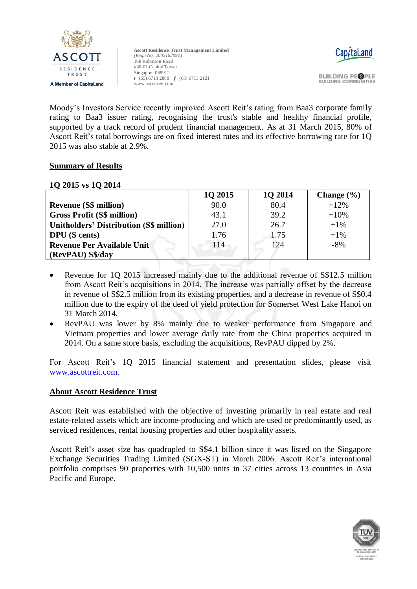



**BUILDING PEOPLE BUILDING COMMUNITIES** 

Moody's Investors Service recently improved Ascott Reit's rating from Baa3 corporate family rating to Baa3 issuer rating, recognising the trust's stable and healthy financial profile, supported by a track record of prudent financial management. As at 31 March 2015, 80% of Ascott Reit's total borrowings are on fixed interest rates and its effective borrowing rate for 1Q 2015 was also stable at 2.9%.

## **Summary of Results**

## **1Q 2015 vs 1Q 2014**

|                                                | 1Q 2015 | 1Q 2014 | Change $(\% )$ |
|------------------------------------------------|---------|---------|----------------|
| <b>Revenue (S\$ million)</b>                   | 90.0    | 80.4    | $+12%$         |
| <b>Gross Profit (S\$ million)</b>              | 43.1    | 39.2    | $+10%$         |
| <b>Unitholders' Distribution (S\$ million)</b> | 27.0    | 26.7    | $+1\%$         |
| <b>DPU</b> (S cents)                           | 1.76    | 1.75    | $+1\%$         |
| <b>Revenue Per Available Unit</b>              | 114     | 124     | $-8%$          |
| (RevPAU) S\$/day                               |         |         |                |

- Revenue for 1Q 2015 increased mainly due to the additional revenue of S\$12.5 million from Ascott Reit's acquisitions in 2014. The increase was partially offset by the decrease in revenue of S\$2.5 million from its existing properties, and a decrease in revenue of S\$0.4 million due to the expiry of the deed of yield protection for Somerset West Lake Hanoi on 31 March 2014.
- RevPAU was lower by 8% mainly due to weaker performance from Singapore and Vietnam properties and lower average daily rate from the China properties acquired in 2014. On a same store basis, excluding the acquisitions, RevPAU dipped by 2%.

For Ascott Reit's 1Q 2015 financial statement and presentation slides, please visit [www.ascottreit.com.](http://www.ascottreit.com/)

#### **About Ascott Residence Trust**

Ascott Reit was established with the objective of investing primarily in real estate and real estate-related assets which are income-producing and which are used or predominantly used, as serviced residences, rental housing properties and other hospitality assets.

Ascott Reit's asset size has quadrupled to S\$4.1 billion since it was listed on the Singapore Exchange Securities Trading Limited (SGX-ST) in March 2006. Ascott Reit's international portfolio comprises 90 properties with 10,500 units in 37 cities across 13 countries in Asia Pacific and Europe.

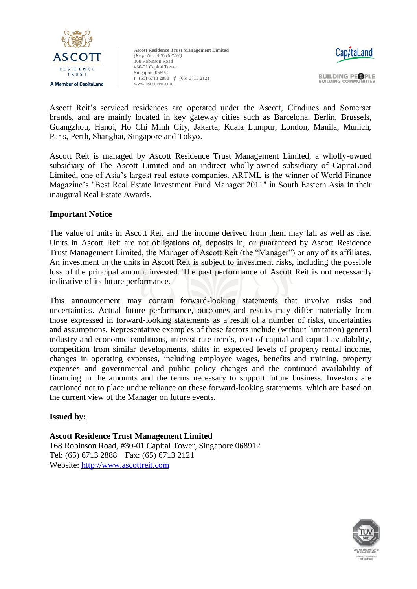



**BUILDING PEOPLE BUILDING COMMUNITIES** 

Ascott Reit's serviced residences are operated under the Ascott, Citadines and Somerset brands, and are mainly located in key gateway cities such as Barcelona, Berlin, Brussels, Guangzhou, Hanoi, Ho Chi Minh City, Jakarta, Kuala Lumpur, London, Manila, Munich, Paris, Perth, Shanghai, Singapore and Tokyo.

Ascott Reit is managed by Ascott Residence Trust Management Limited, a wholly-owned subsidiary of The Ascott Limited and an indirect wholly-owned subsidiary of CapitaLand Limited, one of Asia's largest real estate companies. ARTML is the winner of World Finance Magazine's "Best Real Estate Investment Fund Manager 2011" in South Eastern Asia in their inaugural Real Estate Awards.

## **Important Notice**

The value of units in Ascott Reit and the income derived from them may fall as well as rise. Units in Ascott Reit are not obligations of, deposits in, or guaranteed by Ascott Residence Trust Management Limited, the Manager of Ascott Reit (the "Manager") or any of its affiliates. An investment in the units in Ascott Reit is subject to investment risks, including the possible loss of the principal amount invested. The past performance of Ascott Reit is not necessarily indicative of its future performance.

This announcement may contain forward-looking statements that involve risks and uncertainties. Actual future performance, outcomes and results may differ materially from those expressed in forward-looking statements as a result of a number of risks, uncertainties and assumptions. Representative examples of these factors include (without limitation) general industry and economic conditions, interest rate trends, cost of capital and capital availability, competition from similar developments, shifts in expected levels of property rental income, changes in operating expenses, including employee wages, benefits and training, property expenses and governmental and public policy changes and the continued availability of financing in the amounts and the terms necessary to support future business. Investors are cautioned not to place undue reliance on these forward-looking statements, which are based on the current view of the Manager on future events.

## **Issued by:**

**Ascott Residence Trust Management Limited**  168 Robinson Road, #30-01 Capital Tower, Singapore 068912 Tel: (65) 6713 2888 Fax: (65) 6713 2121 Website: [http://www.ascottreit.com](http://www.ascottreit.com/)